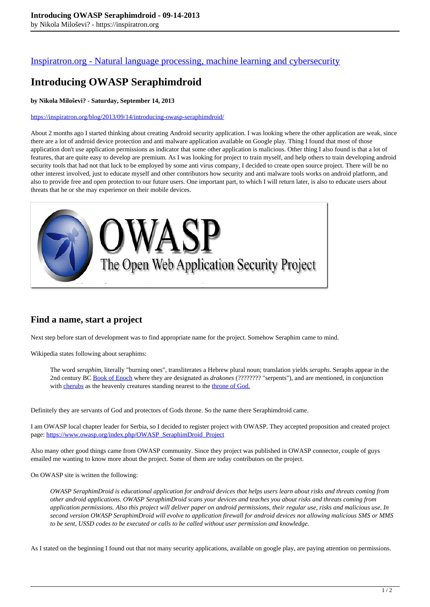### [Inspiratron.org - Natural language processing, machine learning and cybersecurity](https://inspiratron.org)

# **Introducing OWASP Seraphimdroid**

#### **by Nikola Miloševi? - Saturday, September 14, 2013**

#### https://inspiratron.org/blog/2013/09/14/introducing-owasp-seraphimdroid/

About 2 months ago I started thinking about creating Android security application. I was looking where the other application are weak, since there are a lot of android device protection and anti malware application available on Google play. Thing I found that most of those application don't use application permissions as indicator that some other application is malicious. Other thing I also found is that a lot of features, that are quite easy to develop are premium. As I was looking for project to train myself, and help others to train developing android security tools that had not that luck to be employed by some anti virus company, I decided to create open source project. There will be no other interest involved, just to educate myself and other contributors how security and anti malware tools works on android platform, and also to provide free and open protection to our future users. One important part, to which I will return later, is also to educate users about threats that he or she may experience on their mobile devices.



### **Find a name, start a project**

Next step before start of development was to find appropriate name for the project. Somehow Seraphim came to mind.

Wikipedia states following about seraphims:

The word *seraphim*, literally "burning ones", transliterates a Hebrew plural noun; translation yields *seraphs*. Seraphs appear in the 2nd century BC Book of Enoch where they are designated as *drakones* (???????? "serpents"), and are mentioned, in conjunction with cherubs as the heavenly creatures standing nearest to the throne of God.

Definitely they are servants of God and protectors of Gods throne. So the name there Seraphimdroid came.

I am OWASP local chapter leader for Serbia, so I decided to register project with OWASP. They accepted proposition and created project page: https://www.owasp.org/index.php/OWASP\_SeraphimDroid\_Project

Also many other good things came from OWASP community. Since they project was published in OWASP connector, couple of guys emailed me wanting to know more about the project. Some of them are today contributors on the project.

On OWASP site is written the following:

*OWASP SeraphimDroid is educational application for android devices that helps users learn about risks and threats coming from other android applications. OWASP SeraphimDroid scans your devices and teaches you about risks and threats coming from application permissions. Also this project will deliver paper on android permissions, their regular use, risks and malicious use. In second version OWASP SeraphimDroid will evolve to application firewall for android devices not allowing malicious SMS or MMS to be sent, USSD codes to be executed or calls to be called without user permission and knowledge.*

As I stated on the beginning I found out that not many security applications, available on google play, are paying attention on permissions.